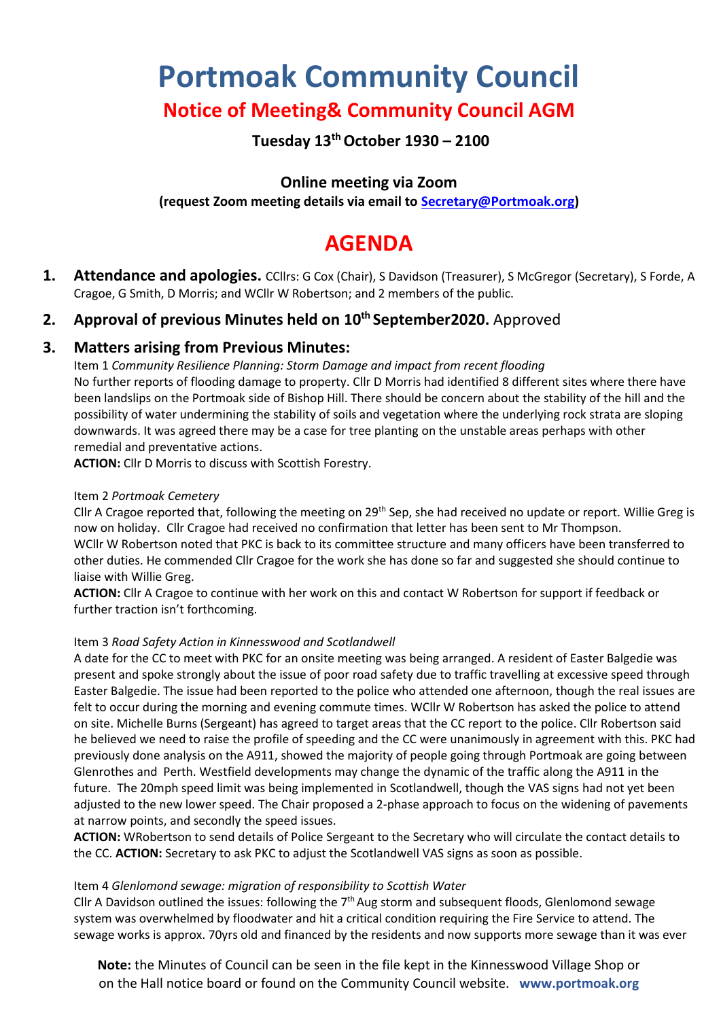# **Portmoak Community Council**

# **Notice of Meeting& Community Council AGM**

# **Tuesday 13thOctober 1930 – 2100**

# **Online meeting via Zoom**

**(request Zoom meeting details via email to [Secretary@Portmoak.org\)](mailto:Secretary@Portmoak.org)**

# **AGENDA**

**1. Attendance and apologies.** CCllrs: G Cox (Chair), S Davidson (Treasurer), S McGregor (Secretary), S Forde, A Cragoe, G Smith, D Morris; and WCllr W Robertson; and 2 members of the public.

# **2. Approval of previous Minutes held on 10 th September2020.** Approved

## **3. Matters arising from Previous Minutes:**

Item 1 *Community Resilience Planning: Storm Damage and impact from recent flooding* No further reports of flooding damage to property. Cllr D Morris had identified 8 different sites where there have been landslips on the Portmoak side of Bishop Hill. There should be concern about the stability of the hill and the possibility of water undermining the stability of soils and vegetation where the underlying rock strata are sloping downwards. It was agreed there may be a case for tree planting on the unstable areas perhaps with other remedial and preventative actions.

**ACTION:** Cllr D Morris to discuss with Scottish Forestry.

#### Item 2 *Portmoak Cemetery*

Cllr A Cragoe reported that, following the meeting on 29th Sep, she had received no update or report. Willie Greg is now on holiday. Cllr Cragoe had received no confirmation that letter has been sent to Mr Thompson. WCllr W Robertson noted that PKC is back to its committee structure and many officers have been transferred to other duties. He commended Cllr Cragoe for the work she has done so far and suggested she should continue to liaise with Willie Greg.

**ACTION:** Cllr A Cragoe to continue with her work on this and contact W Robertson for support if feedback or further traction isn't forthcoming.

#### Item 3 *Road Safety Action in Kinnesswood and Scotlandwell*

A date for the CC to meet with PKC for an onsite meeting was being arranged. A resident of Easter Balgedie was present and spoke strongly about the issue of poor road safety due to traffic travelling at excessive speed through Easter Balgedie. The issue had been reported to the police who attended one afternoon, though the real issues are felt to occur during the morning and evening commute times. WCllr W Robertson has asked the police to attend on site. Michelle Burns (Sergeant) has agreed to target areas that the CC report to the police. Cllr Robertson said he believed we need to raise the profile of speeding and the CC were unanimously in agreement with this. PKC had previously done analysis on the A911, showed the majority of people going through Portmoak are going between Glenrothes and Perth. Westfield developments may change the dynamic of the traffic along the A911 in the future. The 20mph speed limit was being implemented in Scotlandwell, though the VAS signs had not yet been adjusted to the new lower speed. The Chair proposed a 2-phase approach to focus on the widening of pavements at narrow points, and secondly the speed issues.

**ACTION:** WRobertson to send details of Police Sergeant to the Secretary who will circulate the contact details to the CC. **ACTION:** Secretary to ask PKC to adjust the Scotlandwell VAS signs as soon as possible.

#### Item 4 *Glenlomond sewage: migration of responsibility to Scottish Water*

Cllr A Davidson outlined the issues: following the  $7<sup>th</sup>$  Aug storm and subsequent floods, Glenlomond sewage system was overwhelmed by floodwater and hit a critical condition requiring the Fire Service to attend. The sewage works is approx. 70yrs old and financed by the residents and now supports more sewage than it was ever

**Note:** the Minutes of Council can be seen in the file kept in the Kinnesswood Village Shop or on the Hall notice board or found on the Community Council website. **www.portmoak.org**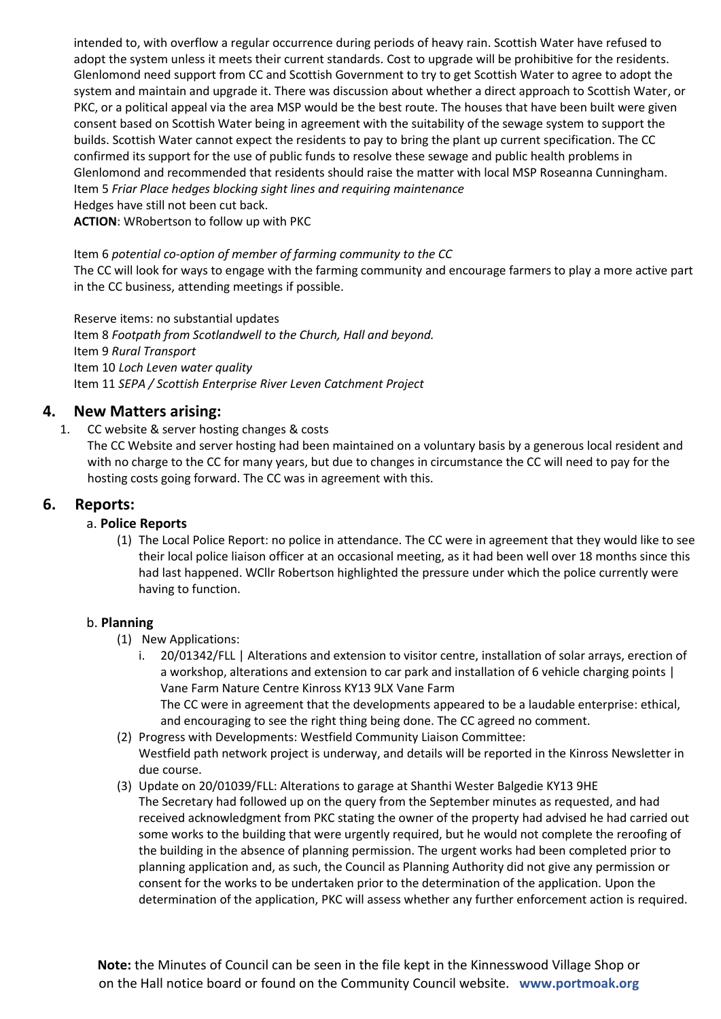intended to, with overflow a regular occurrence during periods of heavy rain. Scottish Water have refused to adopt the system unless it meets their current standards. Cost to upgrade will be prohibitive for the residents. Glenlomond need support from CC and Scottish Government to try to get Scottish Water to agree to adopt the system and maintain and upgrade it. There was discussion about whether a direct approach to Scottish Water, or PKC, or a political appeal via the area MSP would be the best route. The houses that have been built were given consent based on Scottish Water being in agreement with the suitability of the sewage system to support the builds. Scottish Water cannot expect the residents to pay to bring the plant up current specification. The CC confirmed its support for the use of public funds to resolve these sewage and public health problems in Glenlomond and recommended that residents should raise the matter with local MSP Roseanna Cunningham. Item 5 *Friar Place hedges blocking sight lines and requiring maintenance* Hedges have still not been cut back.

**ACTION**: WRobertson to follow up with PKC

#### Item 6 *potential co-option of member of farming community to the CC*

The CC will look for ways to engage with the farming community and encourage farmers to play a more active part in the CC business, attending meetings if possible.

Reserve items: no substantial updates Item 8 *Footpath from Scotlandwell to the Church, Hall and beyond.* Item 9 *Rural Transport* Item 10 *Loch Leven water quality* Item 11 *SEPA / Scottish Enterprise River Leven Catchment Project*

#### **4. New Matters arising:**

#### 1. CC website & server hosting changes & costs

The CC Website and server hosting had been maintained on a voluntary basis by a generous local resident and with no charge to the CC for many years, but due to changes in circumstance the CC will need to pay for the hosting costs going forward. The CC was in agreement with this.

#### **6. Reports:**

#### a. **Police Reports**

(1) The Local Police Report: no police in attendance. The CC were in agreement that they would like to see their local police liaison officer at an occasional meeting, as it had been well over 18 months since this had last happened. WCllr Robertson highlighted the pressure under which the police currently were having to function.

#### b. **Planning**

- (1) New Applications:
	- 20/01342/FLL | Alterations and extension to visitor centre, installation of solar arrays, erection of a workshop, alterations and extension to car park and installation of 6 vehicle charging points | Vane Farm Nature Centre Kinross KY13 9LX Vane Farm The CC were in agreement that the developments appeared to be a laudable enterprise: ethical, and encouraging to see the right thing being done. The CC agreed no comment.
- (2) Progress with Developments: Westfield Community Liaison Committee: Westfield path network project is underway, and details will be reported in the Kinross Newsletter in due course.
- (3) Update on 20/01039/FLL: Alterations to garage at Shanthi Wester Balgedie KY13 9HE The Secretary had followed up on the query from the September minutes as requested, and had received acknowledgment from PKC stating the owner of the property had advised he had carried out some works to the building that were urgently required, but he would not complete the reroofing of the building in the absence of planning permission. The urgent works had been completed prior to planning application and, as such, the Council as Planning Authority did not give any permission or consent for the works to be undertaken prior to the determination of the application. Upon the determination of the application, PKC will assess whether any further enforcement action is required.

**Note:** the Minutes of Council can be seen in the file kept in the Kinnesswood Village Shop or on the Hall notice board or found on the Community Council website. **www.portmoak.org**